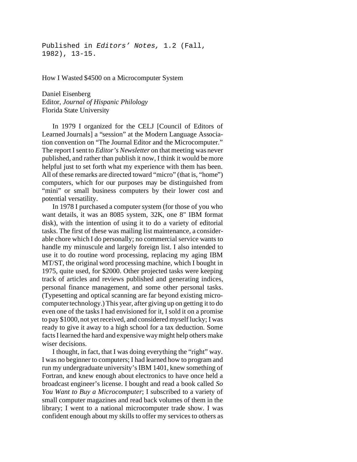Published in *Editors' Notes,* 1.2 (Fall, 1982), 13-15.

How I Wasted \$4500 on a Microcomputer System

Daniel Eisenberg Editor, *Journal of Hispanic Philology* Florida State University

In 1979 I organized for the CELJ [Council of Editors of Learned Journals] a "session" at the Modern Language Association convention on "The Journal Editor and the Microcomputer." The report I sent to *Editor's Newsletter* on that meeting was never published, and rather than publish it now, I think it would be more helpful just to set forth what my experience with them has been. All of these remarks are directed toward "micro" (that is, "home") computers, which for our purposes may be distinguished from "mini" or small business computers by their lower cost and potential versatility.

In 1978 I purchased a computer system (for those of you who want details, it was an 8085 system, 32K, one 8" IBM format disk), with the intention of using it to do a variety of editorial tasks. The first of these was mailing list maintenance, a considerable chore which I do personally; no commercial service wants to handle my minuscule and largely foreign list. I also intended to use it to do routine word processing, replacing my aging IBM MT/ST, the original word processing machine, which I bought in 1975, quite used, for \$2000. Other projected tasks were keeping track of articles and reviews published and generating indices, personal finance management, and some other personal tasks. (Typesetting and optical scanning are far beyond existing microcomputer technology.) This year, after giving up on getting it to do even one of the tasks I had envisioned for it, I sold it on a promise to pay \$1000, not yet received, and considered myself lucky; I was ready to give it away to a high school for a tax deduction. Some facts I learned the hard and expensive way might help others make wiser decisions.

I thought, in fact, that I was doing everything the "right" way. I was no beginner to computers; I had learned how to program and run my undergraduate university's IBM 1401, knew something of Fortran, and knew enough about electronics to have once held a broadcast engineer's license. I bought and read a book called *So You Want to Buy a Microcomputer*; I subscribed to a variety of small computer magazines and read back volumes of them in the library; I went to a national microcomputer trade show. I was confident enough about my skills to offer my services to others as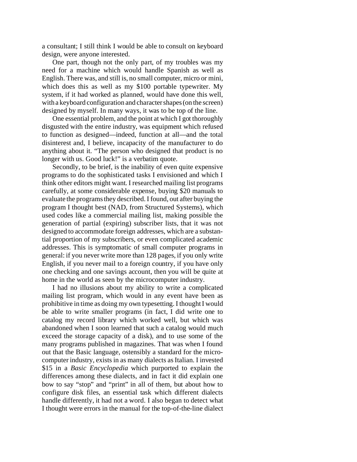a consultant; I still think I would be able to consult on keyboard design, were anyone interested.

One part, though not the only part, of my troubles was my need for a machine which would handle Spanish as well as English. There was, and still is, no small computer, micro or mini, which does this as well as my \$100 portable typewriter. My system, if it had worked as planned, would have done this well, with a keyboard configuration and character shapes (on the screen) designed by myself. In many ways, it was to be top of the line.

One essential problem, and the point at which I got thoroughly disgusted with the entire industry, was equipment which refused to function as designed—indeed, function at all—and the total disinterest and, I believe, incapacity of the manufacturer to do anything about it. "The person who designed that product is no longer with us. Good luck!" is a verbatim quote.

Secondly, to be brief, is the inability of even quite expensive programs to do the sophisticated tasks I envisioned and which I think other editors might want. I researched mailing list programs carefully, at some considerable expense, buying \$20 manuals to evaluate the programs they described. I found, out after buying the program I thought best (NAD, from Structured Systems), which used codes like a commercial mailing list, making possible the generation of partial (expiring) subscriber lists, that it was not designed to accommodate foreign addresses, which are a substantial proportion of my subscribers, or even complicated academic addresses. This is symptomatic of small computer programs in general: if you never write more than 128 pages, if you only write English, if you never mail to a foreign country, if you have only one checking and one savings account, then you will be quite at home in the world as seen by the microcomputer industry.

I had no illusions about my ability to write a complicated mailing list program, which would in any event have been as prohibitive in time as doing my own typesetting. I thought I would be able to write smaller programs (in fact, I did write one to catalog my record library which worked well, but which was abandoned when I soon learned that such a catalog would much exceed the storage capacity of a disk), and to use some of the many programs published in magazines. That was when I found out that the Basic language, ostensibly a standard for the microcomputer industry, exists in as many dialects as Italian. I invested \$15 in a *Basic Encyclopedia* which purported to explain the differences among these dialects, and in fact it did explain one bow to say "stop" and "print" in all of them, but about how to configure disk files, an essential task which different dialects handle differently, it had not a word. I also began to detect what I thought were errors in the manual for the top-of-the-line dialect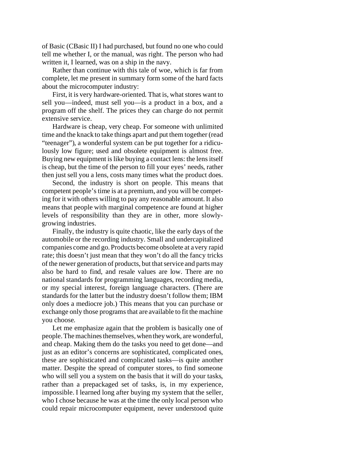of Basic (CBasic II) I had purchased, but found no one who could tell me whether I, or the manual, was right. The person who had written it, I learned, was on a ship in the navy.

Rather than continue with this tale of woe, which is far from complete, let me present in summary form some of the hard facts about the microcomputer industry:

First, it is very hardware-oriented. That is, what stores want to sell you—indeed, must sell you—is a product in a box, and a program off the shelf. The prices they can charge do not permit extensive service.

Hardware is cheap, very cheap. For someone with unlimited time and the knack to take things apart and put them together (read "teenager"), a wonderful system can be put together for a ridiculously low figure; used and obsolete equipment is almost free. Buying new equipment is like buying a contact lens: the lens itself is cheap, but the time of the person to fill your eyes' needs, rather then just sell you a lens, costs many times what the product does.

Second, the industry is short on people. This means that competent people's time is at a premium, and you will be competing for it with others willing to pay any reasonable amount. It also means that people with marginal competence are found at higher levels of responsibility than they are in other, more slowlygrowing industries.

Finally, the industry is quite chaotic, like the early days of the automobile or the recording industry. Small and undercapitalized companies come and go. Products become obsolete at a very rapid rate; this doesn't just mean that they won't do all the fancy tricks of the newer generation of products, but that service and parts may also be hard to find, and resale values are low. There are no national standards for programming languages, recording media, or my special interest, foreign language characters. (There are standards for the latter but the industry doesn't follow them; IBM only does a mediocre job.) This means that you can purchase or exchange only those programs that are available to fit the machine you choose.

Let me emphasize again that the problem is basically one of people. The machines themselves,when theywork, are wonderful, and cheap. Making them do the tasks you need to get done—and just as an editor's concerns are sophisticated, complicated ones, these are sophisticated and complicated tasks—is quite another matter. Despite the spread of computer stores, to find someone who will sell you a system on the basis that it will do your tasks, rather than a prepackaged set of tasks, is, in my experience, impossible. I learned long after buying my system that the seller, who I chose because he was at the time the only local person who could repair microcomputer equipment, never understood quite